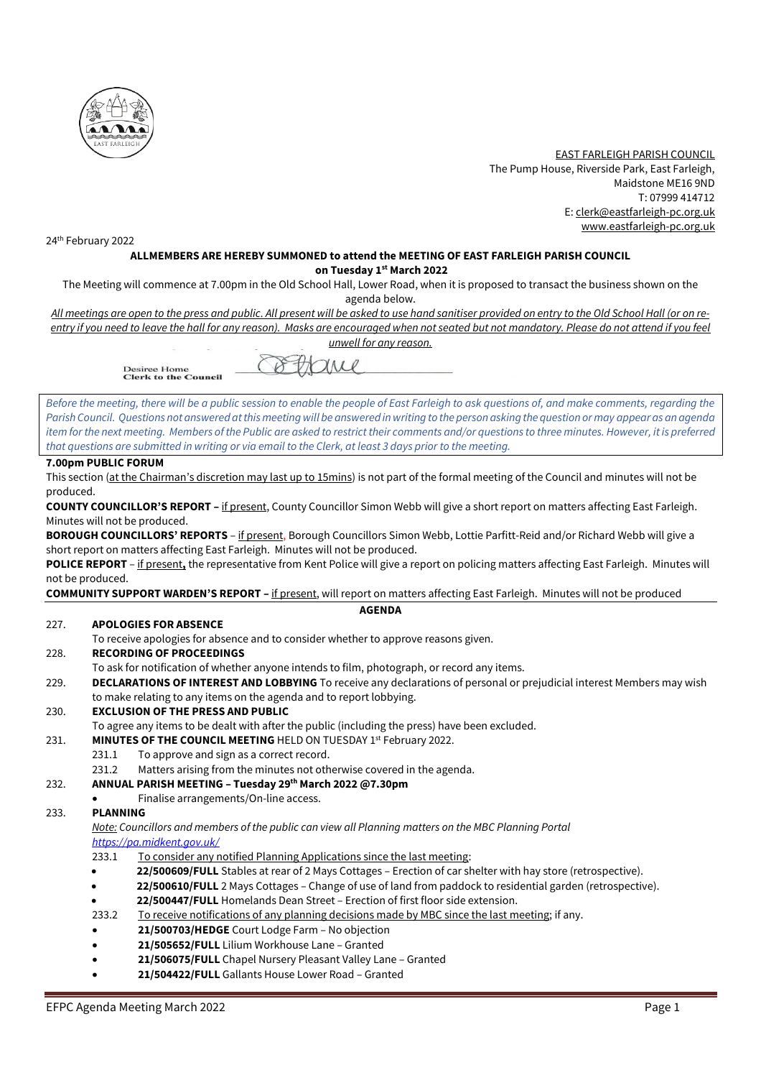

 EAST FARLEIGH PARISH COUNCIL The Pump House, Riverside Park, East Farleigh, Maidstone ME16 9ND T: 07999 414712 E[: clerk@eastfarleigh-pc.org.uk](mailto:clerk@eastfarleigh-pc.org.uk) www.eastfarleigh-pc.org.uk

24th February 2022

#### **ALLMEMBERS ARE HEREBY SUMMONED to attend the MEETING OF EAST FARLEIGH PARISH COUNCIL on Tuesday 1 st March 2022**

The Meeting will commence at 7.00pm in the Old School Hall, Lower Road, when it is proposed to transact the business shown on the agenda below.

*All meetings are open to the press and public. All present will be asked to use hand sanitiser provided on entry to the Old School Hall (or on reentry if you need to leave the hall for any reason). Masks are encouraged when not seated but not mandatory. Please do not attend if you feel unwell for any reason.*

Xrice

**Desiree Home<br>Clerk to the Council** 

*Before the meeting, there will be a public session to enable the people of East Farleigh to ask questions of, and make comments, regarding the Parish Council. Questions not answered at this meeting will be answered in writing to the person asking the question or may appear as an agenda item for the next meeting. Members of the Public are asked to restrict their comments and/or questions to three minutes. However, it is preferred that questions are submitted in writing or via email to the Clerk, at least 3 days prior to the meeting.*

#### **7.00pm PUBLIC FORUM**

This section (at the Chairman's discretion may last up to 15mins) is not part of the formal meeting of the Council and minutes will not be produced.

**COUNTY COUNCILLOR'S REPORT –** if present, County Councillor Simon Webb will give a short report on matters affecting East Farleigh. Minutes will not be produced.

**BOROUGH COUNCILLORS' REPORTS** – if present, Borough Councillors Simon Webb, Lottie Parfitt-Reid and/or Richard Webb will give a short report on matters affecting East Farleigh. Minutes will not be produced.

**POLICE REPORT** – if present**,** the representative from Kent Police will give a report on policing matters affecting East Farleigh. Minutes will not be produced.

**COMMUNITY SUPPORT WARDEN'S REPORT –** if present, will report on matters affecting East Farleigh. Minutes will not be produced

#### **AGENDA**

#### 227. **APOLOGIES FOR ABSENCE**

To receive apologies for absence and to consider whether to approve reasons given.

#### 228. **RECORDING OF PROCEEDINGS**

- To ask for notification of whether anyone intends to film, photograph, or record any items.
- 229. **DECLARATIONS OF INTEREST AND LOBBYING** To receive any declarations of personal or prejudicial interest Members may wish to make relating to any items on the agenda and to report lobbying.

#### 230. **EXCLUSION OF THE PRESS AND PUBLIC**

- To agree any items to be dealt with after the public (including the press) have been excluded.
- 231. MINUTES OF THE COUNCIL MEETING HELD ON TUESDAY 1<sup>st</sup> February 2022.
	- 231.1 To approve and sign as a correct record.
	- 231.2 Matters arising from the minutes not otherwise covered in the agenda.
- 232. **ANNUAL PARISH MEETING – Tuesday 29th March 2022 @7.30pm**
	- Finalise arrangements/On-line access.

#### 233. **PLANNING**

*Note: Councillors and members of the public can view all Planning matters on the MBC Planning Portal <https://pa.midkent.gov.uk/>*

- 233.1 To consider any notified Planning Applications since the last meeting:
- **22/500609/FULL** Stables at rear of 2 Mays Cottages Erection of car shelter with hay store (retrospective).
- **22/500610/FULL** 2 Mays Cottages Change of use of land from paddock to residential garden (retrospective).
- **22/500447/FULL** Homelands Dean Street Erection of first floor side extension.
- 233.2 To receive notifications of any planning decisions made by MBC since the last meeting; if any.
- **21/500703/HEDGE** Court Lodge Farm No objection
- **21/505652/FULL** Lilium Workhouse Lane Granted
- **21/506075/FULL** Chapel Nursery Pleasant Valley Lane Granted
- **21/504422/FULL** Gallants House Lower Road Granted